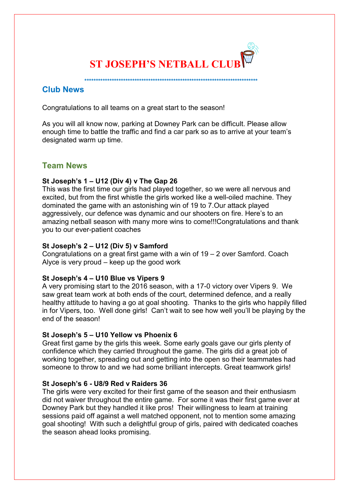

 **\*\*\*\*\*\*\*\*\*\*\*\*\*\*\*\*\*\*\*\*\*\*\*\*\*\*\*\*\*\*\*\*\*\*\*\*\*\*\*\*\*\*\*\*\*\*\*\*\*\*\*\*\*\*\*\*\*\*\*\*\*\*\*\*\*\*\*\*\*\*\*\*\*\*\*\***

**Club News**

Congratulations to all teams on a great start to the season!

As you will all know now, parking at Downey Park can be difficult. Please allow enough time to battle the traffic and find a car park so as to arrive at your team's designated warm up time.

# **Team News**

# **St Joseph's 1 – U12 (Div 4) v The Gap 26**

This was the first time our girls had played together, so we were all nervous and excited, but from the first whistle the girls worked like a well-oiled machine. They dominated the game with an astonishing win of 19 to 7.Our attack played aggressively, our defence was dynamic and our shooters on fire. Here's to an amazing netball season with many more wins to come!!!Congratulations and thank you to our ever-patient coaches

# **St Joseph's 2 – U12 (Div 5) v Samford**

Congratulations on a great first game with a win of 19 – 2 over Samford. Coach Alyce is very proud – keep up the good work

## **St Joseph's 4 – U10 Blue vs Vipers 9**

A very promising start to the 2016 season, with a 17-0 victory over Vipers 9. We saw great team work at both ends of the court, determined defence, and a really healthy attitude to having a go at goal shooting. Thanks to the girls who happily filled in for Vipers, too. Well done girls! Can't wait to see how well you'll be playing by the end of the season!

## **St Joseph's 5 – U10 Yellow vs Phoenix 6**

Great first game by the girls this week. Some early goals gave our girls plenty of confidence which they carried throughout the game. The girls did a great job of working together, spreading out and getting into the open so their teammates had someone to throw to and we had some brilliant intercepts. Great teamwork girls!

# **St Joseph's 6 - U8/9 Red v Raiders 36**

The girls were very excited for their first game of the season and their enthusiasm did not waiver throughout the entire game. For some it was their first game ever at Downey Park but they handled it like pros! Their willingness to learn at training sessions paid off against a well matched opponent, not to mention some amazing goal shooting! With such a delightful group of girls, paired with dedicated coaches the season ahead looks promising.